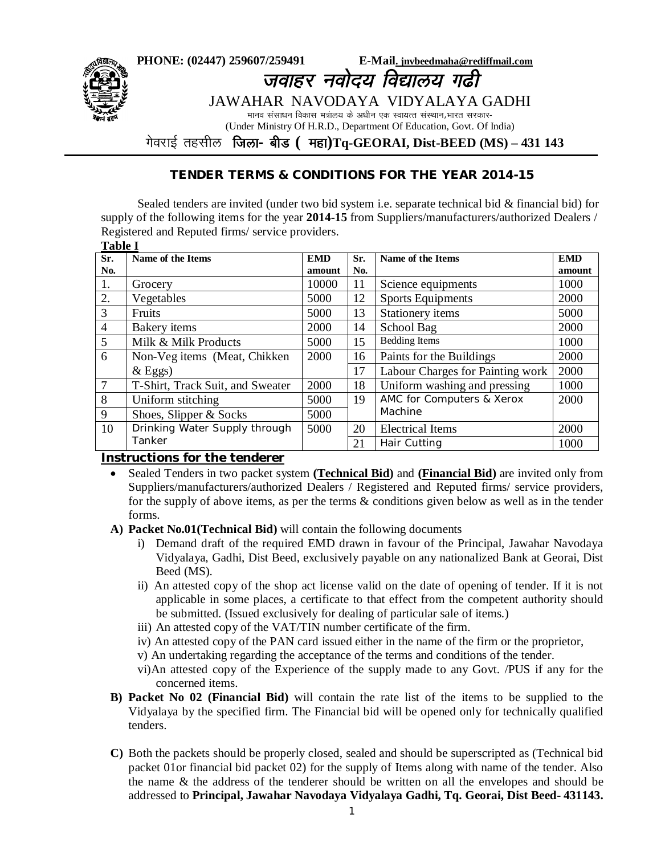

# **TENDER TERMS & CONDITIONS FOR THE YEAR 2014-15**

Sealed tenders are invited (under two bid system i.e. separate technical bid & financial bid) for supply of the following items for the year **2014-15** from Suppliers/manufacturers/authorized Dealers / Registered and Reputed firms/ service providers.

| <b>Table I</b> |                                  |            |     |                                  |            |  |  |  |  |
|----------------|----------------------------------|------------|-----|----------------------------------|------------|--|--|--|--|
| Sr.            | Name of the Items                | <b>EMD</b> | Sr. | Name of the Items                | <b>EMD</b> |  |  |  |  |
| No.            |                                  | amount     | No. |                                  | amount     |  |  |  |  |
| 1.             | Grocery                          | 10000      | 11  | Science equipments               | 1000       |  |  |  |  |
| 2.             | Vegetables                       | 5000       | 12  | <b>Sports Equipments</b>         | 2000       |  |  |  |  |
| 3              | Fruits                           | 5000       | 13  | Stationery items                 | 5000       |  |  |  |  |
| $\overline{4}$ | Bakery items                     | 2000       | 14  | School Bag                       | 2000       |  |  |  |  |
| 5              | Milk & Milk Products             | 5000       | 15  | <b>Bedding Items</b>             | 1000       |  |  |  |  |
| 6              | Non-Veg items (Meat, Chikken     | 2000       | 16  | Paints for the Buildings         | 2000       |  |  |  |  |
|                | $&$ Eggs)                        |            | 17  | Labour Charges for Painting work | 2000       |  |  |  |  |
| 7              | T-Shirt, Track Suit, and Sweater | 2000       | 18  | Uniform washing and pressing     | 1000       |  |  |  |  |
| 8              | Uniform stitching                | 5000       | 19  | AMC for Computers & Xerox        | 2000       |  |  |  |  |
| 9              | Shoes, Slipper & Socks           | 5000       |     | Machine                          |            |  |  |  |  |
| 10             | Drinking Water Supply through    | 5000       | 20  | <b>Electrical Items</b>          | 2000       |  |  |  |  |
|                | Tanker                           |            | 21  | Hair Cutting                     | 1000       |  |  |  |  |

#### **Instructions for the tenderer**

ֺֺ

 Sealed Tenders in two packet system **(Technical Bid)** and **(Financial Bid)** are invited only from Suppliers/manufacturers/authorized Dealers / Registered and Reputed firms/ service providers, for the supply of above items, as per the terms & conditions given below as well as in the tender forms.

#### **A) Packet No.01(Technical Bid)** will contain the following documents

- i) Demand draft of the required EMD drawn in favour of the Principal, Jawahar Navodaya Vidyalaya, Gadhi, Dist Beed, exclusively payable on any nationalized Bank at Georai, Dist Beed (MS).
- ii) An attested copy of the shop act license valid on the date of opening of tender. If it is not applicable in some places, a certificate to that effect from the competent authority should be submitted. (Issued exclusively for dealing of particular sale of items.)
- iii) An attested copy of the VAT/TIN number certificate of the firm.
- iv) An attested copy of the PAN card issued either in the name of the firm or the proprietor,
- v) An undertaking regarding the acceptance of the terms and conditions of the tender.
- vi)An attested copy of the Experience of the supply made to any Govt. /PUS if any for the concerned items.
- **B) Packet No 02 (Financial Bid)** will contain the rate list of the items to be supplied to the Vidyalaya by the specified firm. The Financial bid will be opened only for technically qualified tenders.
- **C)** Both the packets should be properly closed, sealed and should be superscripted as (Technical bid packet 01or financial bid packet 02) for the supply of Items along with name of the tender. Also the name & the address of the tenderer should be written on all the envelopes and should be addressed to **Principal, Jawahar Navodaya Vidyalaya Gadhi, Tq. Georai, Dist Beed- 431143.**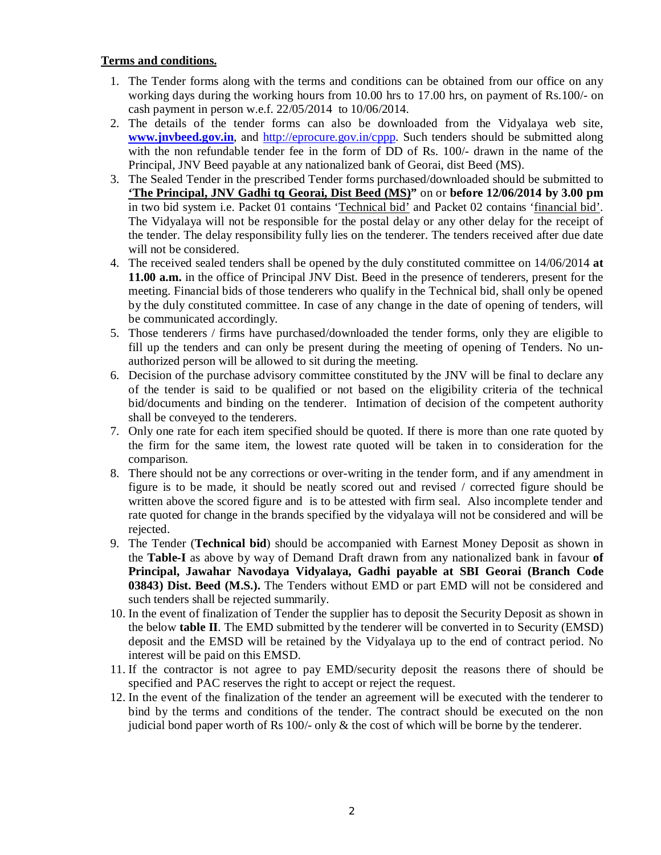## **Terms and conditions.**

- 1. The Tender forms along with the terms and conditions can be obtained from our office on any working days during the working hours from 10.00 hrs to 17.00 hrs, on payment of Rs.100/- on cash payment in person w.e.f. 22/05/2014 to 10/06/2014.
- 2. The details of the tender forms can also be downloaded from the Vidyalaya web site, **www.jnvbeed.gov.in**, and http://eprocure.gov.in/cppp. Such tenders should be submitted along with the non refundable tender fee in the form of DD of Rs. 100/- drawn in the name of the Principal, JNV Beed payable at any nationalized bank of Georai, dist Beed (MS).
- 3. The Sealed Tender in the prescribed Tender forms purchased/downloaded should be submitted to **'The Principal, JNV Gadhi tq Georai, Dist Beed (MS)"** on or **before 12/06/2014 by 3.00 pm** in two bid system i.e. Packet 01 contains 'Technical bid' and Packet 02 contains 'financial bid'. The Vidyalaya will not be responsible for the postal delay or any other delay for the receipt of the tender. The delay responsibility fully lies on the tenderer. The tenders received after due date will not be considered.
- 4. The received sealed tenders shall be opened by the duly constituted committee on 14/06/2014 **at 11.00 a.m.** in the office of Principal JNV Dist. Beed in the presence of tenderers, present for the meeting. Financial bids of those tenderers who qualify in the Technical bid, shall only be opened by the duly constituted committee. In case of any change in the date of opening of tenders, will be communicated accordingly.
- 5. Those tenderers / firms have purchased/downloaded the tender forms, only they are eligible to fill up the tenders and can only be present during the meeting of opening of Tenders. No unauthorized person will be allowed to sit during the meeting.
- 6. Decision of the purchase advisory committee constituted by the JNV will be final to declare any of the tender is said to be qualified or not based on the eligibility criteria of the technical bid/documents and binding on the tenderer.Intimation of decision of the competent authority shall be conveyed to the tenderers.
- 7. Only one rate for each item specified should be quoted. If there is more than one rate quoted by the firm for the same item, the lowest rate quoted will be taken in to consideration for the comparison.
- 8. There should not be any corrections or over-writing in the tender form, and if any amendment in figure is to be made, it should be neatly scored out and revised / corrected figure should be written above the scored figure and is to be attested with firm seal. Also incomplete tender and rate quoted for change in the brands specified by the vidyalaya will not be considered and will be rejected.
- 9. The Tender (**Technical bid**) should be accompanied with Earnest Money Deposit as shown in the **Table-I** as above by way of Demand Draft drawn from any nationalized bank in favour **of Principal, Jawahar Navodaya Vidyalaya, Gadhi payable at SBI Georai (Branch Code 03843) Dist. Beed (M.S.).** The Tenders without EMD or part EMD will not be considered and such tenders shall be rejected summarily.
- 10. In the event of finalization of Tender the supplier has to deposit the Security Deposit as shown in the below **table II**. The EMD submitted by the tenderer will be converted in to Security (EMSD) deposit and the EMSD will be retained by the Vidyalaya up to the end of contract period. No interest will be paid on this EMSD.
- 11. If the contractor is not agree to pay EMD/security deposit the reasons there of should be specified and PAC reserves the right to accept or reject the request.
- 12. In the event of the finalization of the tender an agreement will be executed with the tenderer to bind by the terms and conditions of the tender. The contract should be executed on the non judicial bond paper worth of Rs  $100/-$  only & the cost of which will be borne by the tenderer.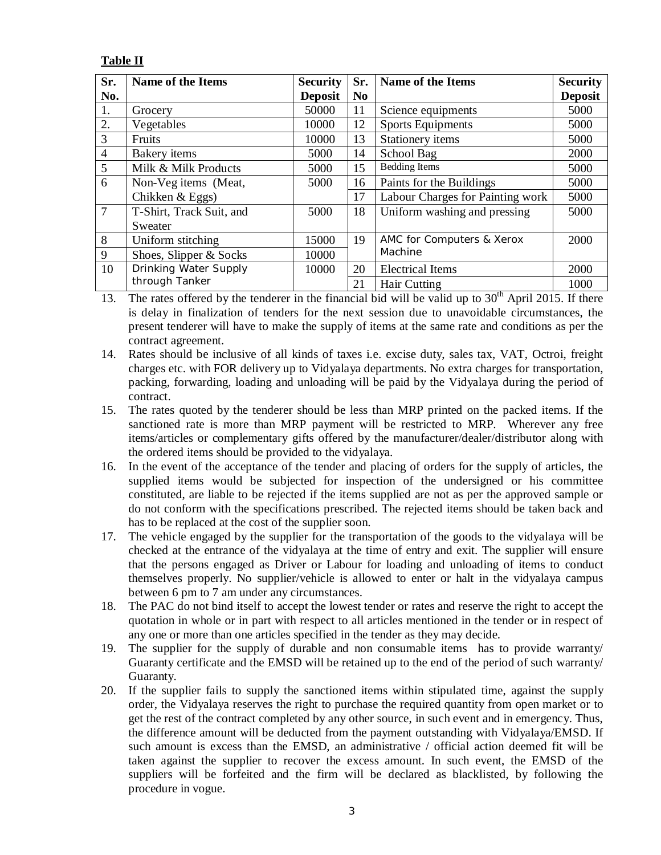## **Table II**

| Sr.            | <b>Name of the Items</b> | <b>Security</b> | Sr.            | <b>Name of the Items</b>         | <b>Security</b> |
|----------------|--------------------------|-----------------|----------------|----------------------------------|-----------------|
| No.            |                          | <b>Deposit</b>  | N <sub>0</sub> |                                  | <b>Deposit</b>  |
| 1.             | Grocery                  | 50000           | 11             | Science equipments               | 5000            |
| 2.             | Vegetables               | 10000           | 12             | <b>Sports Equipments</b>         | 5000            |
| $\mathfrak{Z}$ | Fruits                   | 10000           | 13             | Stationery items                 | 5000            |
| $\overline{4}$ | <b>Bakery</b> items      | 5000            | 14             | School Bag                       | 2000            |
| 5              | Milk & Milk Products     | 5000            | 15             | <b>Bedding Items</b>             | 5000            |
| 6              | Non-Veg items (Meat,     | 5000            | 16             | Paints for the Buildings         | 5000            |
|                | Chikken $&$ Eggs)        |                 | 17             | Labour Charges for Painting work | 5000            |
| $\overline{7}$ | T-Shirt, Track Suit, and | 5000            | 18             | Uniform washing and pressing     | 5000            |
|                | Sweater                  |                 |                |                                  |                 |
| 8              | Uniform stitching        | 15000           | 19             | AMC for Computers & Xerox        | 2000            |
| 9              | Shoes, Slipper & Socks   | 10000           |                | Machine                          |                 |
| 10             | Drinking Water Supply    | 10000           | 20             | <b>Electrical Items</b>          | 2000            |
|                | through Tanker           |                 | 21             | Hair Cutting                     | 1000            |

13. The rates offered by the tenderer in the financial bid will be valid up to  $30<sup>th</sup>$  April 2015. If there is delay in finalization of tenders for the next session due to unavoidable circumstances, the present tenderer will have to make the supply of items at the same rate and conditions as per the contract agreement.

14. Rates should be inclusive of all kinds of taxes i.e. excise duty, sales tax, VAT, Octroi, freight charges etc. with FOR delivery up to Vidyalaya departments. No extra charges for transportation, packing, forwarding, loading and unloading will be paid by the Vidyalaya during the period of contract.

- 15. The rates quoted by the tenderer should be less than MRP printed on the packed items. If the sanctioned rate is more than MRP payment will be restricted to MRP. Wherever any free items/articles or complementary gifts offered by the manufacturer/dealer/distributor along with the ordered items should be provided to the vidyalaya.
- 16. In the event of the acceptance of the tender and placing of orders for the supply of articles, the supplied items would be subjected for inspection of the undersigned or his committee constituted, are liable to be rejected if the items supplied are not as per the approved sample or do not conform with the specifications prescribed. The rejected items should be taken back and has to be replaced at the cost of the supplier soon.
- 17. The vehicle engaged by the supplier for the transportation of the goods to the vidyalaya will be checked at the entrance of the vidyalaya at the time of entry and exit. The supplier will ensure that the persons engaged as Driver or Labour for loading and unloading of items to conduct themselves properly. No supplier/vehicle is allowed to enter or halt in the vidyalaya campus between 6 pm to 7 am under any circumstances.
- 18. The PAC do not bind itself to accept the lowest tender or rates and reserve the right to accept the quotation in whole or in part with respect to all articles mentioned in the tender or in respect of any one or more than one articles specified in the tender as they may decide.
- 19. The supplier for the supply of durable and non consumable items has to provide warranty/ Guaranty certificate and the EMSD will be retained up to the end of the period of such warranty/ Guaranty.
- 20. If the supplier fails to supply the sanctioned items within stipulated time, against the supply order, the Vidyalaya reserves the right to purchase the required quantity from open market or to get the rest of the contract completed by any other source, in such event and in emergency. Thus, the difference amount will be deducted from the payment outstanding with Vidyalaya/EMSD. If such amount is excess than the EMSD, an administrative / official action deemed fit will be taken against the supplier to recover the excess amount. In such event, the EMSD of the suppliers will be forfeited and the firm will be declared as blacklisted, by following the procedure in vogue.